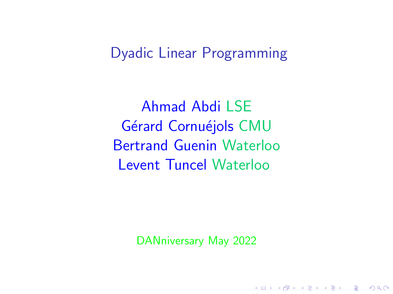Dyadic Linear Programming

Ahmad Abdi LSE Gérard Cornuéjols CMU Bertrand Guenin Waterloo Levent Tuncel Waterloo

DANniversary May 2022

**KORKARYKERKER POLO**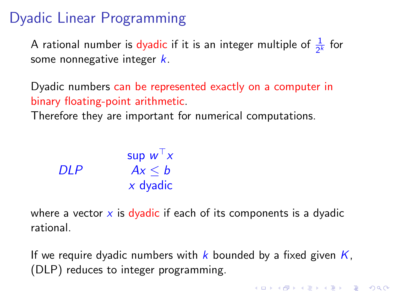# Dyadic Linear Programming

A rational number is dyadic if it is an integer multiple of  $\frac{1}{2^k}$  for some nonnegative integer  $k$ .

Dyadic numbers can be represented exactly on a computer in binary floating-point arithmetic.

Therefore they are important for numerical computations.

| Sup $w^{\top}x$ |             |
|-----------------|-------------|
| $DLP$           | $Ax \leq b$ |
| $x$ dyadic      |             |

where a vector  $x$  is dyadic if each of its components is a dyadic rational.

If we require dyadic numbers with k bounded by a fixed given  $K$ , (DLP) reduces to integer programming.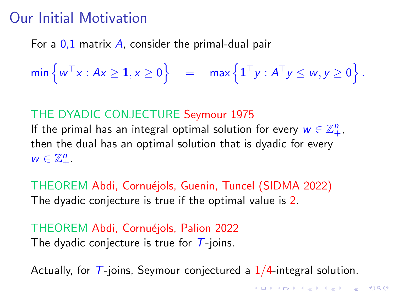## Our Initial Motivation

For a  $0,1$  matrix A, consider the primal-dual pair

 $\min \left\{ w^\top x : A x \ge \mathbf{1}, x \ge 0 \right\} \quad = \quad \max \left\{ \mathbf{1}^\top y : A^\top y \le w, y \ge 0 \right\}.$ 

### THE DYADIC CONJECTURE Seymour 1975

If the primal has an integral optimal solution for every  $w \in \mathbb{Z}_+^n$ , then the dual has an optimal solution that is dyadic for every  $w \in \mathbb{Z}_+^n$ .

THEOREM Abdi, Cornuéjols, Guenin, Tuncel (SIDMA 2022) The dyadic conjecture is true if the optimal value is 2.

THEOREM Abdi, Cornuéjols, Palion 2022 The dyadic conjecture is true for  $\overline{T}$ -joins.

Actually, for  $T$ -joins, Seymour conjectured a  $1/4$ -integral solution.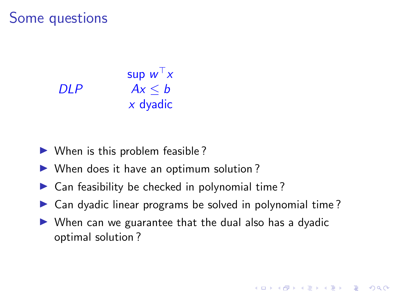### Some questions

| Sup $w^{\top}x$ |             |
|-----------------|-------------|
| $DLP$           | $Ax \leq b$ |
| $x$ dyadic      |             |

- $\triangleright$  When is this problem feasible?
- $\triangleright$  When does it have an optimum solution?
- $\triangleright$  Can feasibility be checked in polynomial time?
- $\triangleright$  Can dyadic linear programs be solved in polynomial time?
- $\triangleright$  When can we guarantee that the dual also has a dyadic optimal solution ?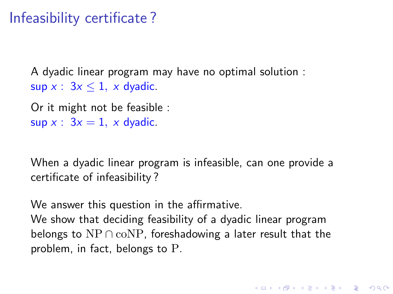# Infeasibility certificate ?

A dyadic linear program may have no optimal solution : sup  $x: 3x \leq 1$ , x dyadic.

Or it might not be feasible : sup  $x: 3x = 1$ , x dyadic.

When a dyadic linear program is infeasible, can one provide a certificate of infeasibility ?

We answer this question in the affirmative. We show that deciding feasibility of a dyadic linear program belongs to  $NP \cap coNP$ , foreshadowing a later result that the problem, in fact, belongs to P.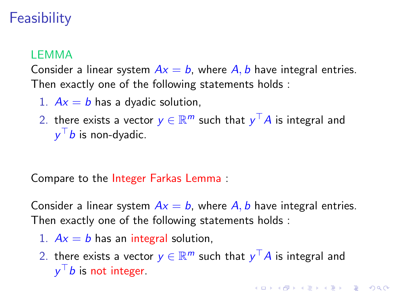# **Feasibility**

### LEMMA

Consider a linear system  $Ax = b$ , where A, b have integral entries. Then exactly one of the following statements holds :

- 1.  $Ax = b$  has a dyadic solution,
- 2. there exists a vector  $y\in \mathbb{R}^m$  such that  $y^\top A$  is integral and  $y^\top b$  is non-dyadic.

Compare to the Integer Farkas Lemma :

Consider a linear system  $Ax = b$ , where A, b have integral entries. Then exactly one of the following statements holds :

- 1.  $Ax = b$  has an integral solution,
- 2. there exists a vector  $y\in \mathbb{R}^m$  such that  $y^\top A$  is integral and  $y^\top b$  is not integer.

**KORK EXTERNE PROVIDE**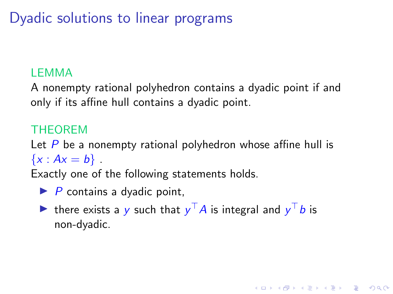# Dyadic solutions to linear programs

### LEMMA

A nonempty rational polyhedron contains a dyadic point if and only if its affine hull contains a dyadic point.

### THEOREM

Let  $P$  be a nonempty rational polyhedron whose affine hull is  ${x : Ax = b}.$ 

Exactly one of the following statements holds.

- $\blacktriangleright$  P contains a dyadic point,
- ighthere exists a y such that  $y^{\top}A$  is integral and  $y^{\top}b$  is non-dyadic.

4 0 > 4 4 + 4 = + 4 = + = + + 0 4 0 +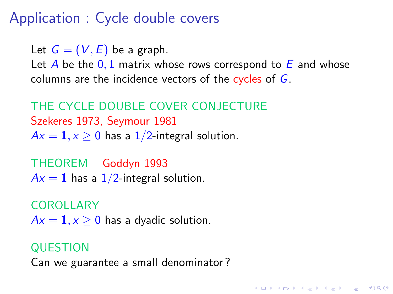# Application : Cycle double covers

Let  $G = (V, E)$  be a graph.

Let A be the  $0,1$  matrix whose rows correspond to E and whose columns are the incidence vectors of the cycles of G.

**KORKARYKERKER POLO** 

THE CYCLE DOUBLE COVER CONJECTURE Szekeres 1973, Seymour 1981  $Ax = 1, x > 0$  has a 1/2-integral solution.

THEOREM Goddyn 1993  $Ax = 1$  has a  $1/2$ -integral solution.

COROLLARY  $Ax = 1, x > 0$  has a dyadic solution.

### **QUESTION** Can we guarantee a small denominator ?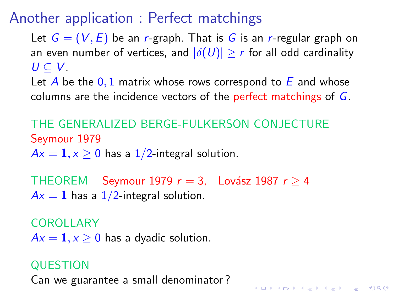# Another application : Perfect matchings

Let  $G = (V, E)$  be an r-graph. That is G is an r-regular graph on an even number of vertices, and  $|\delta(U)| \geq r$  for all odd cardinality  $U \subseteq V$ .

Let A be the  $0,1$  matrix whose rows correspond to E and whose columns are the incidence vectors of the perfect matchings of G.

KID KA KERKER E VOOR

THE GENERALIZED BERGE-FULKERSON CONJECTURE Seymour 1979  $Ax = 1, x \ge 0$  has a 1/2-integral solution.

THEOREM Seymour 1979  $r = 3$ , Lovász 1987  $r > 4$  $Ax = 1$  has a  $1/2$ -integral solution.

COROLLARY  $Ax = 1, x > 0$  has a dyadic solution.

### **QUESTION**

Can we guarantee a small denominator ?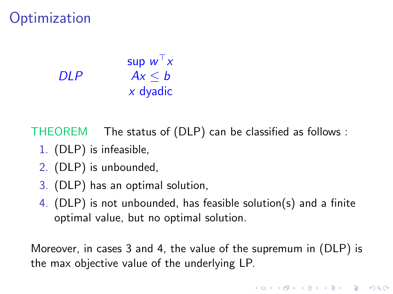## **Optimization**

DLP sup  $w^\top x$  $Ax < b$  $x$  dyadic

THEOREM The status of (DLP) can be classified as follows :

- 1. (DLP) is infeasible,
- 2. (DLP) is unbounded,
- 3. (DLP) has an optimal solution,
- 4. (DLP) is not unbounded, has feasible solution(s) and a finite optimal value, but no optimal solution.

Moreover, in cases 3 and 4, the value of the supremum in (DLP) is the max objective value of the underlying LP.

**KORKAR KERKER SAGA**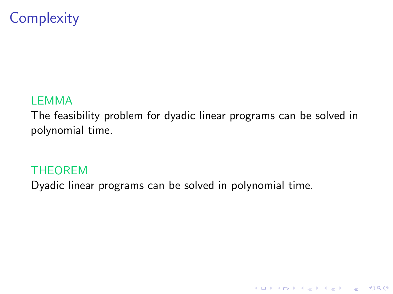# **Complexity**

#### LEMMA

The feasibility problem for dyadic linear programs can be solved in polynomial time.

K ロ ▶ K 個 ▶ K 할 ▶ K 할 ▶ 이 할 → 9 Q Q →

#### THEOREM

Dyadic linear programs can be solved in polynomial time.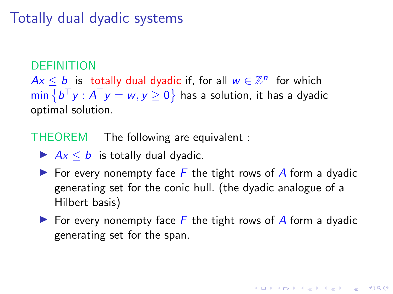## Totally dual dyadic systems

#### DEFINITION

 $Ax \leq b$  is totally dual dyadic if, for all  $w \in \mathbb{Z}^n$  for which  $\min\left\{b^\top y:A^\top y=w,y\geq 0\right\}$  has a solution, it has a dyadic optimal solution.

THEOREM The following are equivalent :

 $\blacktriangleright$   $Ax < b$  is totally dual dyadic.

- For every nonempty face  $\overline{F}$  the tight rows of A form a dyadic generating set for the conic hull. (the dyadic analogue of a Hilbert basis)
- $\blacktriangleright$  For every nonempty face F the tight rows of A form a dyadic generating set for the span.

**KORKAR KERKER SAGA**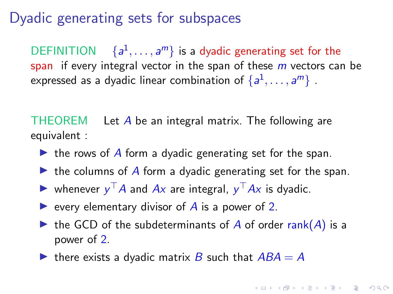### Dyadic generating sets for subspaces

DEFINITION  $\{a^1, \ldots, a^m\}$  is a dyadic generating set for the span if every integral vector in the span of these  $m$  vectors can be expressed as a dyadic linear combination of  $\{a^1,\ldots,a^m\}$  .

THEOREM Let A be an integral matrix. The following are equivalent :

- $\triangleright$  the rows of A form a dyadic generating set for the span.
- $\triangleright$  the columns of A form a dyadic generating set for the span.
- ighthrow whenever  $y^{\top}A$  and  $Ax$  are integral,  $y^{\top}Ax$  is dyadic.
- revery elementary divisor of  $\overline{A}$  is a power of 2.
- $\triangleright$  the GCD of the subdeterminants of A of order rank(A) is a power of 2.
- $\triangleright$  there exists a dyadic matrix B such that  $ABA = A$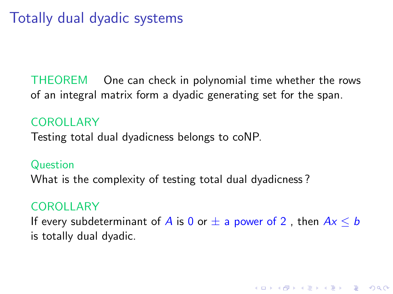# Totally dual dyadic systems

THEOREM One can check in polynomial time whether the rows of an integral matrix form a dyadic generating set for the span.

#### COROLLARY

Testing total dual dyadicness belongs to coNP.

#### **Question**

What is the complexity of testing total dual dyadicness ?

### COROLLARY

If every subdeterminant of A is 0 or  $\pm$  a power of 2, then  $Ax \leq b$ is totally dual dyadic.

**KORKARYKERKER POLO**